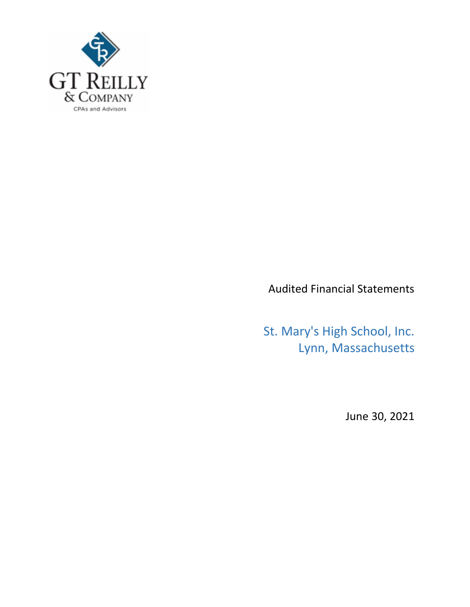

Audited Financial Statements

St. Mary's High School, Inc. Lynn, Massachusetts

June 30, 2021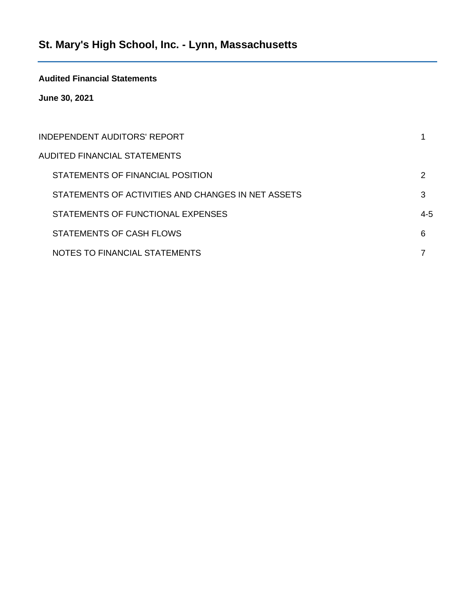# **Audited Financial Statements**

**June 30, 2021**

| INDEPENDENT AUDITORS' REPORT                       |         |
|----------------------------------------------------|---------|
| AUDITED FINANCIAL STATEMENTS                       |         |
| STATEMENTS OF FINANCIAL POSITION                   | 2       |
| STATEMENTS OF ACTIVITIES AND CHANGES IN NET ASSETS | 3       |
| STATEMENTS OF FUNCTIONAL EXPENSES                  | $4 - 5$ |
| STATEMENTS OF CASH FLOWS                           | 6       |
| NOTES TO FINANCIAL STATEMENTS                      |         |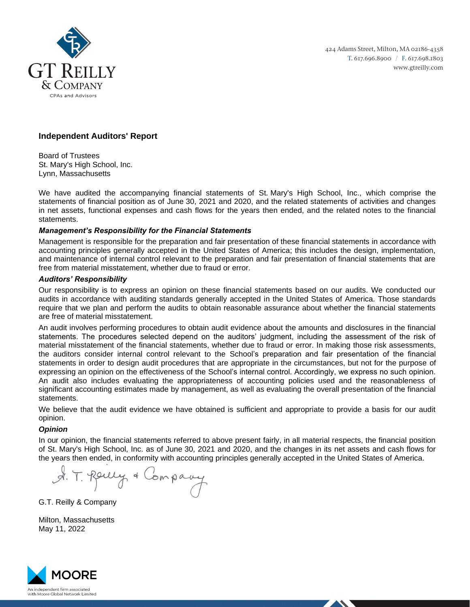

424 Adams Street, Milton, MA 02186-4358 T. 617.696.8900 / F. 617.698.1803 www.gtreilly.com

### **Independent Auditors' Report**

Board of Trustees St. Mary's High School, Inc. Lynn, Massachusetts

We have audited the accompanying financial statements of St. Mary's High School, Inc., which comprise the statements of financial position as of June 30, 2021 and 2020, and the related statements of activities and changes in net assets, functional expenses and cash flows for the years then ended, and the related notes to the financial statements.

#### *Management's Responsibility for the Financial Statements*

Management is responsible for the preparation and fair presentation of these financial statements in accordance with accounting principles generally accepted in the United States of America; this includes the design, implementation, and maintenance of internal control relevant to the preparation and fair presentation of financial statements that are free from material misstatement, whether due to fraud or error.

#### *Auditors' Responsibility*

Our responsibility is to express an opinion on these financial statements based on our audits. We conducted our audits in accordance with auditing standards generally accepted in the United States of America. Those standards require that we plan and perform the audits to obtain reasonable assurance about whether the financial statements are free of material misstatement.

An audit involves performing procedures to obtain audit evidence about the amounts and disclosures in the financial statements. The procedures selected depend on the auditors' judgment, including the assessment of the risk of material misstatement of the financial statements, whether due to fraud or error. In making those risk assessments, the auditors consider internal control relevant to the School's preparation and fair presentation of the financial statements in order to design audit procedures that are appropriate in the circumstances, but not for the purpose of expressing an opinion on the effectiveness of the School's internal control. Accordingly, we express no such opinion. An audit also includes evaluating the appropriateness of accounting policies used and the reasonableness of significant accounting estimates made by management, as well as evaluating the overall presentation of the financial statements.

We believe that the audit evidence we have obtained is sufficient and appropriate to provide a basis for our audit opinion.

#### *Opinion*

In our opinion, the financial statements referred to above present fairly, in all material respects, the financial position of St. Mary's High School, Inc. as of June 30, 2021 and 2020, and the changes in its net assets and cash flows for the years then ended, in conformity with accounting principles generally accepted in the United States of America.

A. T. Rouly & Company

G.T. Reilly & Company

Milton, Massachusetts May 11, 2022

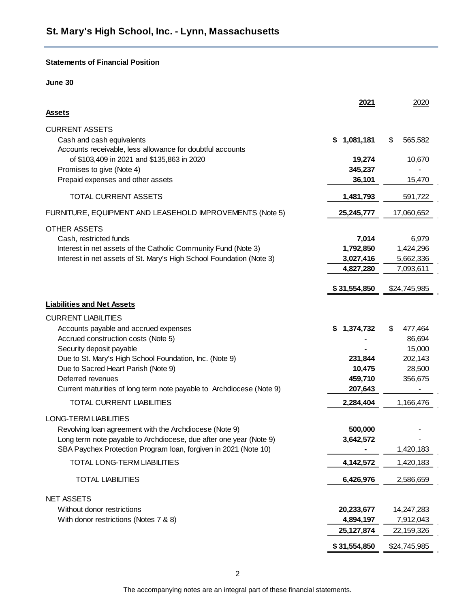#### **Statements of Financial Position**

**June 30**

|                                                                                        | 2021            | 2020           |
|----------------------------------------------------------------------------------------|-----------------|----------------|
| <b>Assets</b>                                                                          |                 |                |
| <b>CURRENT ASSETS</b>                                                                  |                 |                |
| Cash and cash equivalents<br>Accounts receivable, less allowance for doubtful accounts | \$1,081,181     | \$<br>565,582  |
| of \$103,409 in 2021 and \$135,863 in 2020                                             | 19,274          | 10,670         |
| Promises to give (Note 4)                                                              | 345,237         |                |
| Prepaid expenses and other assets                                                      | 36,101          | 15,470         |
| <b>TOTAL CURRENT ASSETS</b>                                                            | 1,481,793       | 591,722        |
| FURNITURE, EQUIPMENT AND LEASEHOLD IMPROVEMENTS (Note 5)                               | 25,245,777      | 17,060,652     |
| <b>OTHER ASSETS</b>                                                                    |                 |                |
| Cash, restricted funds                                                                 | 7,014           | 6,979          |
| Interest in net assets of the Catholic Community Fund (Note 3)                         | 1,792,850       | 1,424,296      |
| Interest in net assets of St. Mary's High School Foundation (Note 3)                   | 3,027,416       | 5,662,336      |
|                                                                                        | 4,827,280       | 7,093,611      |
|                                                                                        | \$31,554,850    | \$24,745,985   |
| <b>Liabilities and Net Assets</b>                                                      |                 |                |
| <b>CURRENT LIABILITIES</b>                                                             |                 |                |
| Accounts payable and accrued expenses                                                  | 1,374,732<br>\$ | \$.<br>477,464 |
| Accrued construction costs (Note 5)                                                    |                 | 86,694         |
| Security deposit payable                                                               |                 | 15,000         |
| Due to St. Mary's High School Foundation, Inc. (Note 9)                                | 231,844         | 202,143        |
| Due to Sacred Heart Parish (Note 9)                                                    | 10,475          | 28,500         |
| Deferred revenues                                                                      | 459,710         | 356,675        |
| Current maturities of long term note payable to Archdiocese (Note 9)                   | 207,643         |                |
| <b>TOTAL CURRENT LIABILITIES</b>                                                       | 2,284,404       | 1,166,476      |
| LONG-TERM LIABILITIES                                                                  |                 |                |
| Revolving loan agreement with the Archdiocese (Note 9)                                 | 500,000         |                |
| Long term note payable to Archdiocese, due after one year (Note 9)                     | 3.642.572       |                |
| SBA Paychex Protection Program Ioan, forgiven in 2021 (Note 10)                        |                 | 1,420,183      |
| TOTAL LONG-TERM LIABILITIES                                                            | 4,142,572       | 1,420,183      |
| <b>TOTAL LIABILITIES</b>                                                               | 6,426,976       | 2,586,659      |
| <b>NET ASSETS</b>                                                                      |                 |                |
| Without donor restrictions                                                             | 20,233,677      | 14,247,283     |
| With donor restrictions (Notes 7 & 8)                                                  | 4,894,197       | 7,912,043      |
|                                                                                        | 25,127,874      | 22,159,326     |
|                                                                                        | \$31,554,850    | \$24,745,985   |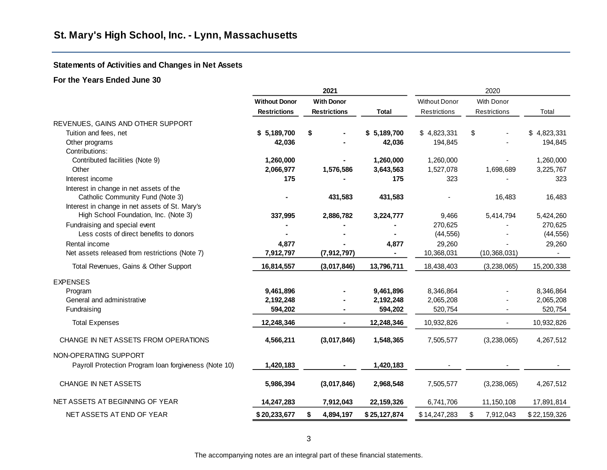# **Statements of Activities and Changes in Net Assets**

#### **For the Years Ended June 30**

|                                                       | 2021                 |                     |              | 2020                 |                 |              |
|-------------------------------------------------------|----------------------|---------------------|--------------|----------------------|-----------------|--------------|
|                                                       | <b>Without Donor</b> | <b>With Donor</b>   |              | <b>Without Donor</b> | With Donor      |              |
|                                                       | <b>Restrictions</b>  | <b>Restrictions</b> | <b>Total</b> | Restrictions         | Restrictions    | Total        |
| REVENUES, GAINS AND OTHER SUPPORT                     |                      |                     |              |                      |                 |              |
| Tuition and fees, net                                 | \$5,189,700          | \$                  | \$5,189,700  | \$4,823,331          | \$              | \$4,823,331  |
| Other programs                                        | 42,036               |                     | 42,036       | 194,845              |                 | 194,845      |
| Contributions:                                        |                      |                     |              |                      |                 |              |
| Contributed facilities (Note 9)                       | 1,260,000            |                     | 1,260,000    | 1,260,000            |                 | 1,260,000    |
| Other                                                 | 2,066,977            | 1,576,586           | 3,643,563    | 1,527,078            | 1,698,689       | 3,225,767    |
| Interest income                                       | 175                  |                     | 175          | 323                  |                 | 323          |
| Interest in change in net assets of the               |                      |                     |              |                      |                 |              |
| Catholic Community Fund (Note 3)                      |                      | 431,583             | 431,583      |                      | 16,483          | 16,483       |
| Interest in change in net assets of St. Mary's        |                      |                     |              |                      |                 |              |
| High School Foundation, Inc. (Note 3)                 | 337,995              | 2,886,782           | 3,224,777    | 9,466                | 5,414,794       | 5,424,260    |
| Fundraising and special event                         |                      |                     |              | 270,625              |                 | 270,625      |
| Less costs of direct benefits to donors               |                      |                     |              | (44, 556)            |                 | (44, 556)    |
| Rental income                                         | 4,877                |                     | 4,877        | 29,260               |                 | 29,260       |
| Net assets released from restrictions (Note 7)        | 7,912,797            | (7, 912, 797)       |              | 10,368,031           | (10, 368, 031)  |              |
| Total Revenues, Gains & Other Support                 | 16,814,557           | (3,017,846)         | 13,796,711   | 18,438,403           | (3, 238, 065)   | 15,200,338   |
| <b>EXPENSES</b>                                       |                      |                     |              |                      |                 |              |
| Program                                               | 9,461,896            |                     | 9,461,896    | 8,346,864            |                 | 8,346,864    |
| General and administrative                            | 2,192,248            |                     | 2,192,248    | 2,065,208            |                 | 2,065,208    |
| Fundraising                                           | 594,202              |                     | 594,202      | 520,754              |                 | 520,754      |
| <b>Total Expenses</b>                                 | 12,248,346           |                     | 12,248,346   | 10,932,826           |                 | 10,932,826   |
| CHANGE IN NET ASSETS FROM OPERATIONS                  | 4,566,211            | (3,017,846)         | 1,548,365    | 7,505,577            | (3,238,065)     | 4,267,512    |
| NON-OPERATING SUPPORT                                 |                      |                     |              |                      |                 |              |
| Payroll Protection Program Ioan forgiveness (Note 10) | 1,420,183            |                     | 1,420,183    |                      |                 |              |
| <b>CHANGE IN NET ASSETS</b>                           | 5,986,394            | (3,017,846)         | 2,968,548    | 7,505,577            | (3,238,065)     | 4,267,512    |
| NET ASSETS AT BEGINNING OF YEAR                       | 14,247,283           | 7,912,043           | 22, 159, 326 | 6,741,706            | 11,150,108      | 17,891,814   |
| NET ASSETS AT END OF YEAR                             | \$20,233,677         | 4,894,197<br>\$     | \$25,127,874 | \$14,247,283         | \$<br>7,912,043 | \$22,159,326 |
|                                                       |                      |                     |              |                      |                 |              |

The accompanying notes are an integral part of these financial statements.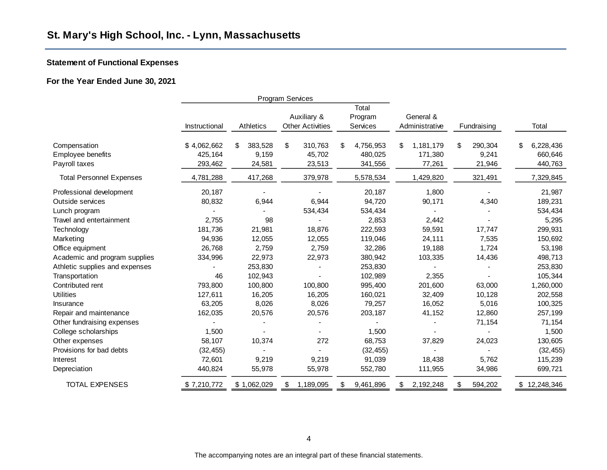# **Statement of Functional Expenses**

# **For the Year Ended June 30, 2021**

|                                 | <b>Program Services</b> |              |                                        |                              |                             |               |                 |
|---------------------------------|-------------------------|--------------|----------------------------------------|------------------------------|-----------------------------|---------------|-----------------|
|                                 | Instructional           | Athletics    | Auxiliary &<br><b>Other Activities</b> | Total<br>Program<br>Services | General &<br>Administrative | Fundraising   | Total           |
|                                 |                         |              |                                        |                              |                             |               |                 |
| Compensation                    | \$4,062,662             | 383,528<br>S | \$<br>310,763                          | 4,756,953<br>S               | 1,181,179<br>\$.            | \$<br>290,304 | 6,228,436<br>\$ |
| Employee benefits               | 425,164                 | 9,159        | 45,702                                 | 480,025                      | 171,380                     | 9,241         | 660,646         |
| Payroll taxes                   | 293,462                 | 24,581       | 23,513                                 | 341,556                      | 77,261                      | 21,946        | 440,763         |
| <b>Total Personnel Expenses</b> | 4,781,288               | 417,268      | 379,978                                | 5,578,534                    | 1,429,820                   | 321,491       | 7,329,845       |
| Professional development        | 20,187                  |              |                                        | 20,187                       | 1,800                       |               | 21,987          |
| Outside services                | 80,832                  | 6,944        | 6,944                                  | 94,720                       | 90,171                      | 4,340         | 189,231         |
| Lunch program                   |                         |              | 534,434                                | 534,434                      |                             |               | 534,434         |
| Travel and entertainment        | 2,755                   | 98           |                                        | 2,853                        | 2,442                       |               | 5,295           |
| Technology                      | 181,736                 | 21,981       | 18,876                                 | 222,593                      | 59,591                      | 17,747        | 299,931         |
| Marketing                       | 94,936                  | 12,055       | 12,055                                 | 119,046                      | 24,111                      | 7,535         | 150,692         |
| Office equipment                | 26,768                  | 2,759        | 2,759                                  | 32,286                       | 19,188                      | 1,724         | 53,198          |
| Academic and program supplies   | 334,996                 | 22,973       | 22,973                                 | 380,942                      | 103,335                     | 14,436        | 498,713         |
| Athletic supplies and expenses  |                         | 253,830      |                                        | 253,830                      |                             |               | 253,830         |
| Transportation                  | 46                      | 102,943      |                                        | 102,989                      | 2,355                       |               | 105,344         |
| Contributed rent                | 793,800                 | 100,800      | 100,800                                | 995,400                      | 201,600                     | 63,000        | 1,260,000       |
| <b>Utilities</b>                | 127,611                 | 16,205       | 16,205                                 | 160,021                      | 32,409                      | 10,128        | 202,558         |
| Insurance                       | 63,205                  | 8,026        | 8,026                                  | 79,257                       | 16,052                      | 5,016         | 100,325         |
| Repair and maintenance          | 162,035                 | 20,576       | 20,576                                 | 203,187                      | 41,152                      | 12,860        | 257,199         |
| Other fundraising expenses      |                         |              |                                        |                              |                             | 71,154        | 71,154          |
| College scholarships            | 1,500                   |              |                                        | 1,500                        |                             |               | 1,500           |
| Other expenses                  | 58,107                  | 10,374       | 272                                    | 68,753                       | 37,829                      | 24,023        | 130,605         |
| Provisions for bad debts        | (32, 455)               |              |                                        | (32, 455)                    |                             |               | (32, 455)       |
| Interest                        | 72,601                  | 9,219        | 9,219                                  | 91,039                       | 18,438                      | 5,762         | 115,239         |
| Depreciation                    | 440,824                 | 55,978       | 55,978                                 | 552,780                      | 111,955                     | 34,986        | 699,721         |
| <b>TOTAL EXPENSES</b>           | \$7,210,772             | \$1,062,029  | 1,189,095<br>\$                        | \$<br>9,461,896              | 2,192,248                   | \$<br>594,202 | \$12,248,346    |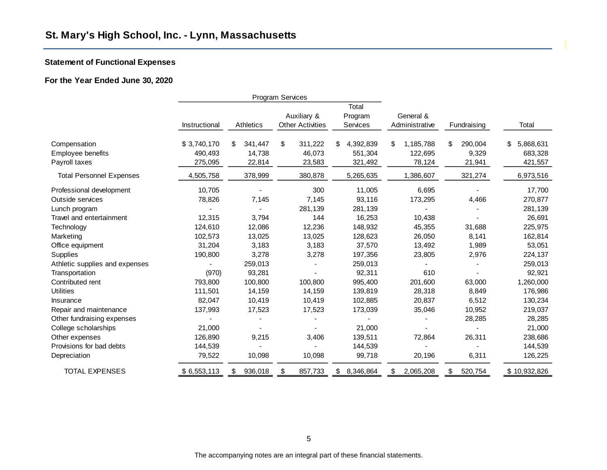# **Statement of Functional Expenses**

# **For the Year Ended June 30, 2020**

|                                 |               | <b>Program Services</b> |                                        |                              |                             |               |                 |
|---------------------------------|---------------|-------------------------|----------------------------------------|------------------------------|-----------------------------|---------------|-----------------|
|                                 | Instructional | Athletics               | Auxiliary &<br><b>Other Activities</b> | Total<br>Program<br>Services | General &<br>Administrative | Fundraising   | Total           |
| Compensation                    | \$3,740,170   | \$<br>341,447           | \$<br>311,222                          | 4,392,839<br>\$.             | \$<br>1,185,788             | \$<br>290,004 | 5,868,631<br>\$ |
| Employee benefits               | 490,493       | 14,738                  | 46,073                                 | 551,304                      | 122,695                     | 9,329         | 683,328         |
| Payroll taxes                   | 275,095       | 22,814                  | 23,583                                 | 321,492                      | 78,124                      | 21,941        | 421,557         |
| <b>Total Personnel Expenses</b> | 4,505,758     | 378,999                 | 380,878                                | 5,265,635                    | 1,386,607                   | 321,274       | 6,973,516       |
| Professional development        | 10,705        |                         | 300                                    | 11,005                       | 6,695                       |               | 17,700          |
| Outside services                | 78,826        | 7,145                   | 7,145                                  | 93,116                       | 173,295                     | 4,466         | 270,877         |
| Lunch program                   |               |                         | 281,139                                | 281,139                      |                             |               | 281,139         |
| Travel and entertainment        | 12,315        | 3,794                   | 144                                    | 16,253                       | 10,438                      |               | 26,691          |
| Technology                      | 124,610       | 12,086                  | 12,236                                 | 148,932                      | 45,355                      | 31,688        | 225,975         |
| Marketing                       | 102,573       | 13,025                  | 13,025                                 | 128,623                      | 26,050                      | 8,141         | 162,814         |
| Office equipment                | 31,204        | 3,183                   | 3,183                                  | 37,570                       | 13,492                      | 1,989         | 53,051          |
| Supplies                        | 190,800       | 3,278                   | 3,278                                  | 197,356                      | 23,805                      | 2,976         | 224,137         |
| Athletic supplies and expenses  |               | 259,013                 |                                        | 259,013                      |                             |               | 259,013         |
| Transportation                  | (970)         | 93,281                  |                                        | 92,311                       | 610                         |               | 92,921          |
| Contributed rent                | 793,800       | 100,800                 | 100,800                                | 995,400                      | 201,600                     | 63,000        | 1,260,000       |
| <b>Utilities</b>                | 111,501       | 14,159                  | 14,159                                 | 139,819                      | 28,318                      | 8,849         | 176,986         |
| Insurance                       | 82,047        | 10,419                  | 10,419                                 | 102,885                      | 20,837                      | 6,512         | 130,234         |
| Repair and maintenance          | 137,993       | 17,523                  | 17,523                                 | 173,039                      | 35,046                      | 10,952        | 219,037         |
| Other fundraising expenses      |               |                         |                                        |                              |                             | 28,285        | 28,285          |
| College scholarships            | 21,000        |                         |                                        | 21,000                       |                             |               | 21,000          |
| Other expenses                  | 126,890       | 9,215                   | 3,406                                  | 139,511                      | 72,864                      | 26,311        | 238,686         |
| Provisions for bad debts        | 144,539       |                         |                                        | 144,539                      |                             |               | 144,539         |
| Depreciation                    | 79,522        | 10,098                  | 10,098                                 | 99,718                       | 20,196                      | 6,311         | 126,225         |
| <b>TOTAL EXPENSES</b>           | \$6,553,113   | 936,018<br>\$           | \$<br>857,733                          | 8,346,864<br>\$              | 2,065,208<br>\$             | 520,754<br>\$ | \$10,932,826    |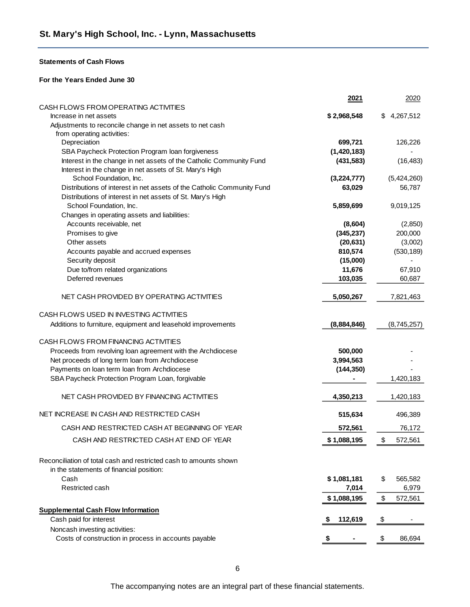#### **Statements of Cash Flows**

#### **For the Years Ended June 30**

|                                                                        | 2021         | 2020            |
|------------------------------------------------------------------------|--------------|-----------------|
| CASH FLOWS FROM OPERATING ACTIVITIES                                   |              |                 |
| Increase in net assets                                                 | \$2,968,548  | 4,267,512<br>S. |
| Adjustments to reconcile change in net assets to net cash              |              |                 |
| from operating activities:                                             |              |                 |
| Depreciation                                                           | 699,721      | 126,226         |
| SBA Paycheck Protection Program Ioan forgiveness                       | (1,420,183)  |                 |
| Interest in the change in net assets of the Catholic Community Fund    | (431, 583)   | (16, 483)       |
| Interest in the change in net assets of St. Mary's High                |              |                 |
| School Foundation, Inc.                                                | (3,224,777)  | (5,424,260)     |
| Distributions of interest in net assets of the Catholic Community Fund | 63,029       | 56,787          |
| Distributions of interest in net assets of St. Mary's High             |              |                 |
| School Foundation, Inc.                                                | 5,859,699    | 9,019,125       |
| Changes in operating assets and liabilities:                           |              |                 |
| Accounts receivable, net                                               | (8,604)      | (2,850)         |
| Promises to give                                                       | (345, 237)   | 200,000         |
| Other assets                                                           | (20, 631)    | (3,002)         |
| Accounts payable and accrued expenses                                  | 810,574      | (530, 189)      |
| Security deposit                                                       | (15,000)     |                 |
| Due to/from related organizations                                      | 11,676       | 67,910          |
| Deferred revenues                                                      | 103,035      | 60,687          |
| NET CASH PROVIDED BY OPERATING ACTIVITIES                              | 5,050,267    | 7,821,463       |
| CASH FLOWS USED IN INVESTING ACTIVITIES                                |              |                 |
| Additions to furniture, equipment and leasehold improvements           | (8,884,846)  | (8,745,257)     |
| CASH FLOWS FROM FINANCING ACTIVITIES                                   |              |                 |
| Proceeds from revolving loan agreement with the Archdiocese            | 500,000      |                 |
| Net proceeds of long term loan from Archdiocese                        | 3,994,563    |                 |
| Payments on loan term loan from Archdiocese                            | (144, 350)   |                 |
| SBA Paycheck Protection Program Loan, forgivable                       |              | 1,420,183       |
| NET CASH PROVIDED BY FINANCING ACTIVITIES                              | 4,350,213    | 1,420,183       |
| NET INCREASE IN CASH AND RESTRICTED CASH                               | 515,634      | 496,389         |
| CASH AND RESTRICTED CASH AT BEGINNING OF YEAR                          | 572,561      | 76,172          |
| CASH AND RESTRICTED CASH AT END OF YEAR                                | \$1,088,195  | 572,561         |
|                                                                        |              |                 |
| Reconciliation of total cash and restricted cash to amounts shown      |              |                 |
| in the statements of financial position:                               |              |                 |
| Cash                                                                   | \$1,081,181  | \$<br>565,582   |
| Restricted cash                                                        | 7,014        | 6,979           |
|                                                                        | \$1,088,195  | \$<br>572,561   |
| <b>Supplemental Cash Flow Information</b>                              |              |                 |
| Cash paid for interest                                                 | 112,619<br>S | \$              |
| Noncash investing activities:                                          |              |                 |
| Costs of construction in process in accounts payable                   | \$           | \$<br>86,694    |

The accompanying notes are an integral part of these financial statements.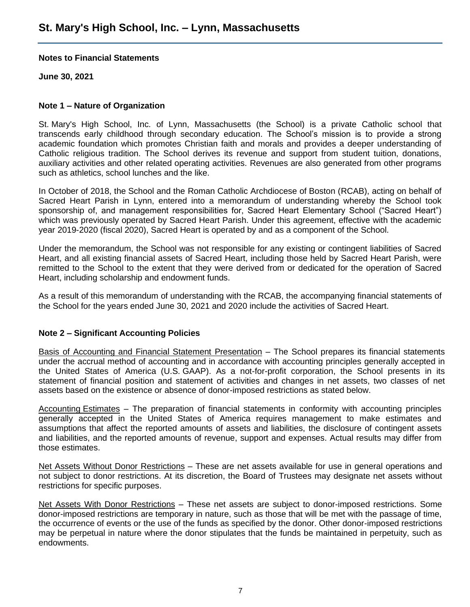**Notes to Financial Statements**

**June 30, 2021**

# **Note 1 – Nature of Organization**

St. Mary's High School, Inc. of Lynn, Massachusetts (the School) is a private Catholic school that transcends early childhood through secondary education. The School's mission is to provide a strong academic foundation which promotes Christian faith and morals and provides a deeper understanding of Catholic religious tradition. The School derives its revenue and support from student tuition, donations, auxiliary activities and other related operating activities. Revenues are also generated from other programs such as athletics, school lunches and the like.

In October of 2018, the School and the Roman Catholic Archdiocese of Boston (RCAB), acting on behalf of Sacred Heart Parish in Lynn, entered into a memorandum of understanding whereby the School took sponsorship of, and management responsibilities for, Sacred Heart Elementary School ("Sacred Heart") which was previously operated by Sacred Heart Parish. Under this agreement, effective with the academic year 2019-2020 (fiscal 2020), Sacred Heart is operated by and as a component of the School.

Under the memorandum, the School was not responsible for any existing or contingent liabilities of Sacred Heart, and all existing financial assets of Sacred Heart, including those held by Sacred Heart Parish, were remitted to the School to the extent that they were derived from or dedicated for the operation of Sacred Heart, including scholarship and endowment funds.

As a result of this memorandum of understanding with the RCAB, the accompanying financial statements of the School for the years ended June 30, 2021 and 2020 include the activities of Sacred Heart.

### **Note 2 – Significant Accounting Policies**

Basis of Accounting and Financial Statement Presentation - The School prepares its financial statements under the accrual method of accounting and in accordance with accounting principles generally accepted in the United States of America (U.S. GAAP). As a not-for-profit corporation, the School presents in its statement of financial position and statement of activities and changes in net assets, two classes of net assets based on the existence or absence of donor-imposed restrictions as stated below.

Accounting Estimates – The preparation of financial statements in conformity with accounting principles generally accepted in the United States of America requires management to make estimates and assumptions that affect the reported amounts of assets and liabilities, the disclosure of contingent assets and liabilities, and the reported amounts of revenue, support and expenses. Actual results may differ from those estimates.

Net Assets Without Donor Restrictions – These are net assets available for use in general operations and not subject to donor restrictions. At its discretion, the Board of Trustees may designate net assets without restrictions for specific purposes.

Net Assets With Donor Restrictions – These net assets are subject to donor-imposed restrictions. Some donor-imposed restrictions are temporary in nature, such as those that will be met with the passage of time, the occurrence of events or the use of the funds as specified by the donor. Other donor-imposed restrictions may be perpetual in nature where the donor stipulates that the funds be maintained in perpetuity, such as endowments.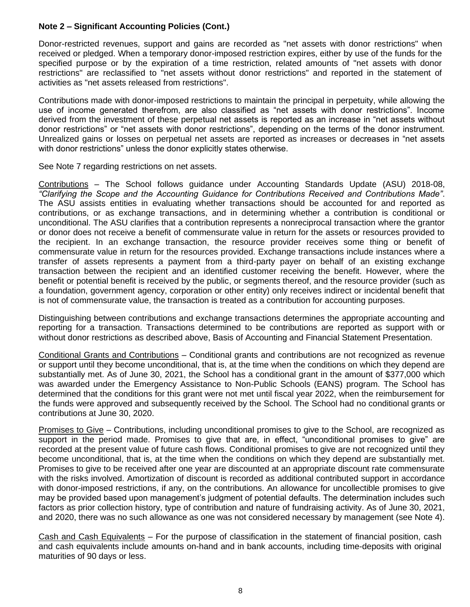# **Note 2 – Significant Accounting Policies (Cont.)**

Donor-restricted revenues, support and gains are recorded as "net assets with donor restrictions" when received or pledged. When a temporary donor-imposed restriction expires, either by use of the funds for the specified purpose or by the expiration of a time restriction, related amounts of "net assets with donor restrictions" are reclassified to "net assets without donor restrictions" and reported in the statement of activities as "net assets released from restrictions".

Contributions made with donor-imposed restrictions to maintain the principal in perpetuity, while allowing the use of income generated therefrom, are also classified as "net assets with donor restrictions". Income derived from the investment of these perpetual net assets is reported as an increase in "net assets without donor restrictions" or "net assets with donor restrictions", depending on the terms of the donor instrument. Unrealized gains or losses on perpetual net assets are reported as increases or decreases in "net assets with donor restrictions" unless the donor explicitly states otherwise.

See Note 7 regarding restrictions on net assets.

Contributions – The School follows guidance under Accounting Standards Update (ASU) 2018-08, *"Clarifying the Scope and the Accounting Guidance for Contributions Received and Contributions Made"*. The ASU assists entities in evaluating whether transactions should be accounted for and reported as contributions, or as exchange transactions, and in determining whether a contribution is conditional or unconditional. The ASU clarifies that a contribution represents a nonreciprocal transaction where the grantor or donor does not receive a benefit of commensurate value in return for the assets or resources provided to the recipient. In an exchange transaction, the resource provider receives some thing or benefit of commensurate value in return for the resources provided. Exchange transactions include instances where a transfer of assets represents a payment from a third-party payer on behalf of an existing exchange transaction between the recipient and an identified customer receiving the benefit. However, where the benefit or potential benefit is received by the public, or segments thereof, and the resource provider (such as a foundation, government agency, corporation or other entity) only receives indirect or incidental benefit that is not of commensurate value, the transaction is treated as a contribution for accounting purposes.

Distinguishing between contributions and exchange transactions determines the appropriate accounting and reporting for a transaction. Transactions determined to be contributions are reported as support with or without donor restrictions as described above, Basis of Accounting and Financial Statement Presentation.

Conditional Grants and Contributions – Conditional grants and contributions are not recognized as revenue or support until they become unconditional, that is, at the time when the conditions on which they depend are substantially met. As of June 30, 2021, the School has a conditional grant in the amount of \$377,000 which was awarded under the Emergency Assistance to Non-Public Schools (EANS) program. The School has determined that the conditions for this grant were not met until fiscal year 2022, when the reimbursement for the funds were approved and subsequently received by the School. The School had no conditional grants or contributions at June 30, 2020.

Promises to Give – Contributions, including unconditional promises to give to the School, are recognized as support in the period made. Promises to give that are, in effect, "unconditional promises to give" are recorded at the present value of future cash flows. Conditional promises to give are not recognized until they become unconditional, that is, at the time when the conditions on which they depend are substantially met. Promises to give to be received after one year are discounted at an appropriate discount rate commensurate with the risks involved. Amortization of discount is recorded as additional contributed support in accordance with donor-imposed restrictions, if any, on the contributions. An allowance for uncollectible promises to give may be provided based upon management's judgment of potential defaults. The determination includes such factors as prior collection history, type of contribution and nature of fundraising activity. As of June 30, 2021, and 2020, there was no such allowance as one was not considered necessary by management (see Note 4).

Cash and Cash Equivalents – For the purpose of classification in the statement of financial position, cash and cash equivalents include amounts on-hand and in bank accounts, including time-deposits with original maturities of 90 days or less.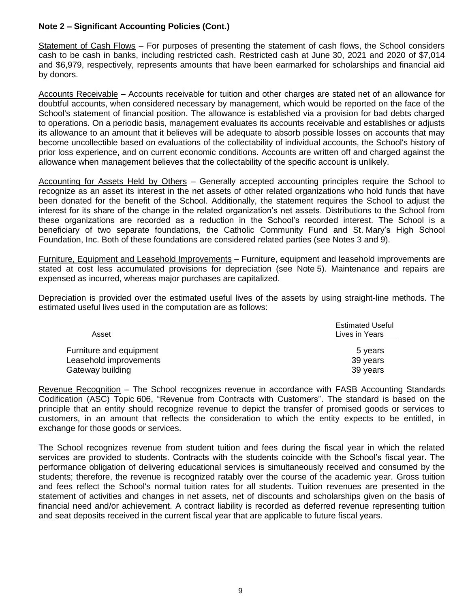# **Note 2 – Significant Accounting Policies (Cont.)**

Statement of Cash Flows – For purposes of presenting the statement of cash flows, the School considers cash to be cash in banks, including restricted cash. Restricted cash at June 30, 2021 and 2020 of \$7,014 and \$6,979, respectively, represents amounts that have been earmarked for scholarships and financial aid by donors.

Accounts Receivable – Accounts receivable for tuition and other charges are stated net of an allowance for doubtful accounts, when considered necessary by management, which would be reported on the face of the School's statement of financial position. The allowance is established via a provision for bad debts charged to operations. On a periodic basis, management evaluates its accounts receivable and establishes or adjusts its allowance to an amount that it believes will be adequate to absorb possible losses on accounts that may become uncollectible based on evaluations of the collectability of individual accounts, the School's history of prior loss experience, and on current economic conditions. Accounts are written off and charged against the allowance when management believes that the collectability of the specific account is unlikely.

Accounting for Assets Held by Others – Generally accepted accounting principles require the School to recognize as an asset its interest in the net assets of other related organizations who hold funds that have been donated for the benefit of the School. Additionally, the statement requires the School to adjust the interest for its share of the change in the related organization's net assets. Distributions to the School from these organizations are recorded as a reduction in the School's recorded interest. The School is a beneficiary of two separate foundations, the Catholic Community Fund and St. Mary's High School Foundation, Inc. Both of these foundations are considered related parties (see Notes 3 and 9).

Furniture, Equipment and Leasehold Improvements – Furniture, equipment and leasehold improvements are stated at cost less accumulated provisions for depreciation (see Note 5). Maintenance and repairs are expensed as incurred, whereas major purchases are capitalized.

Depreciation is provided over the estimated useful lives of the assets by using straight-line methods. The estimated useful lives used in the computation are as follows:

| Asset                   | <b>Estimated Useful</b><br>Lives in Years |
|-------------------------|-------------------------------------------|
| Furniture and equipment | 5 years                                   |
| Leasehold improvements  | 39 years                                  |
| Gateway building        | 39 years                                  |

Revenue Recognition – The School recognizes revenue in accordance with FASB Accounting Standards Codification (ASC) Topic 606, "Revenue from Contracts with Customers". The standard is based on the principle that an entity should recognize revenue to depict the transfer of promised goods or services to customers, in an amount that reflects the consideration to which the entity expects to be entitled, in exchange for those goods or services.

The School recognizes revenue from student tuition and fees during the fiscal year in which the related services are provided to students. Contracts with the students coincide with the School's fiscal year. The performance obligation of delivering educational services is simultaneously received and consumed by the students; therefore, the revenue is recognized ratably over the course of the academic year. Gross tuition and fees reflect the School's normal tuition rates for all students. Tuition revenues are presented in the statement of activities and changes in net assets, net of discounts and scholarships given on the basis of financial need and/or achievement. A contract liability is recorded as deferred revenue representing tuition and seat deposits received in the current fiscal year that are applicable to future fiscal years.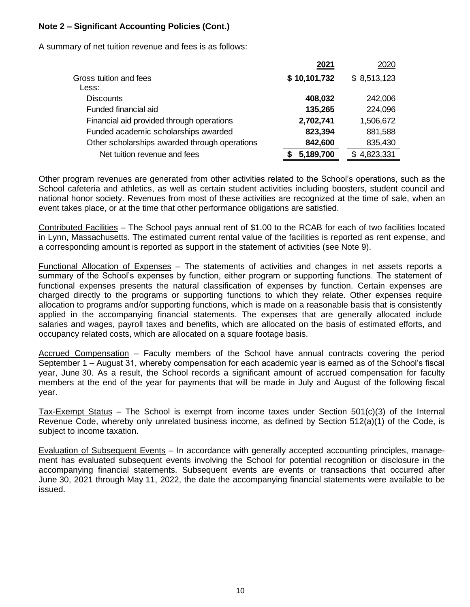# **Note 2 – Significant Accounting Policies (Cont.)**

A summary of net tuition revenue and fees is as follows:

|                                               | 2021         | 2020        |
|-----------------------------------------------|--------------|-------------|
| Gross tuition and fees                        | \$10,101,732 | \$8,513,123 |
| Less:                                         |              |             |
| <b>Discounts</b>                              | 408,032      | 242,006     |
| Funded financial aid                          | 135,265      | 224,096     |
| Financial aid provided through operations     | 2,702,741    | 1,506,672   |
| Funded academic scholarships awarded          | 823,394      | 881,588     |
| Other scholarships awarded through operations | 842,600      | 835,430     |
| Net tuition revenue and fees                  | 5,189,700    | \$4,823,331 |

Other program revenues are generated from other activities related to the School's operations, such as the School cafeteria and athletics, as well as certain student activities including boosters, student council and national honor society. Revenues from most of these activities are recognized at the time of sale, when an event takes place, or at the time that other performance obligations are satisfied.

Contributed Facilities – The School pays annual rent of \$1.00 to the RCAB for each of two facilities located in Lynn, Massachusetts. The estimated current rental value of the facilities is reported as rent expense, and a corresponding amount is reported as support in the statement of activities (see Note 9).

Functional Allocation of Expenses – The statements of activities and changes in net assets reports a summary of the School's expenses by function, either program or supporting functions. The statement of functional expenses presents the natural classification of expenses by function. Certain expenses are charged directly to the programs or supporting functions to which they relate. Other expenses require allocation to programs and/or supporting functions, which is made on a reasonable basis that is consistently applied in the accompanying financial statements. The expenses that are generally allocated include salaries and wages, payroll taxes and benefits, which are allocated on the basis of estimated efforts, and occupancy related costs, which are allocated on a square footage basis.

Accrued Compensation – Faculty members of the School have annual contracts covering the period September 1 – August 31, whereby compensation for each academic year is earned as of the School's fiscal year, June 30. As a result, the School records a significant amount of accrued compensation for faculty members at the end of the year for payments that will be made in July and August of the following fiscal year.

Tax-Exempt Status – The School is exempt from income taxes under Section  $501(c)(3)$  of the Internal Revenue Code, whereby only unrelated business income, as defined by Section 512(a)(1) of the Code, is subject to income taxation.

Evaluation of Subsequent Events – In accordance with generally accepted accounting principles, management has evaluated subsequent events involving the School for potential recognition or disclosure in the accompanying financial statements. Subsequent events are events or transactions that occurred after June 30, 2021 through May 11, 2022, the date the accompanying financial statements were available to be issued.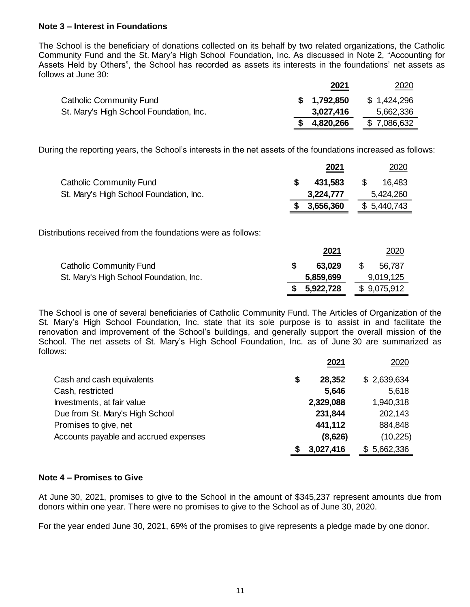#### **Note 3 – Interest in Foundations**

The School is the beneficiary of donations collected on its behalf by two related organizations, the Catholic Community Fund and the St. Mary's High School Foundation, Inc. As discussed in Note 2, "Accounting for Assets Held by Others", the School has recorded as assets its interests in the foundations' net assets as follows at June 30:

|                                         | 2021         | 2020        |
|-----------------------------------------|--------------|-------------|
| Catholic Community Fund                 | \$ 1,792,850 | \$1,424,296 |
| St. Mary's High School Foundation, Inc. | 3,027,416    | 5,662,336   |
|                                         | 4,820,266    | \$7,086,632 |

During the reporting years, the School's interests in the net assets of the foundations increased as follows:

|                                         | 2021        | <u> 2020</u> |
|-----------------------------------------|-------------|--------------|
| <b>Catholic Community Fund</b>          | 431.583     | 16.483       |
| St. Mary's High School Foundation, Inc. | 3,224,777   | 5,424,260    |
|                                         | \$3,656,360 | \$5,440,743  |

Distributions received from the foundations were as follows:

|                                         | 2021      | <u>2020</u> |
|-----------------------------------------|-----------|-------------|
| <b>Catholic Community Fund</b>          | 63.029    | 56,787      |
| St. Mary's High School Foundation, Inc. | 5,859,699 | 9,019,125   |
|                                         | 5,922,728 | \$9,075,912 |

The School is one of several beneficiaries of Catholic Community Fund. The Articles of Organization of the St. Mary's High School Foundation, Inc. state that its sole purpose is to assist in and facilitate the renovation and improvement of the School's buildings, and generally support the overall mission of the School. The net assets of St. Mary's High School Foundation, Inc. as of June 30 are summarized as follows:

|                                       |    | 2021      | 2020        |
|---------------------------------------|----|-----------|-------------|
| Cash and cash equivalents             | \$ | 28,352    | \$2,639,634 |
| Cash, restricted                      |    | 5,646     | 5,618       |
| Investments, at fair value            |    | 2,329,088 | 1,940,318   |
| Due from St. Mary's High School       |    | 231,844   | 202,143     |
| Promises to give, net                 |    | 441,112   | 884,848     |
| Accounts payable and accrued expenses |    | (8,626)   | (10, 225)   |
|                                       | S  | 3,027,416 | \$5,662,336 |

#### **Note 4 – Promises to Give**

At June 30, 2021, promises to give to the School in the amount of \$345,237 represent amounts due from donors within one year. There were no promises to give to the School as of June 30, 2020.

For the year ended June 30, 2021, 69% of the promises to give represents a pledge made by one donor.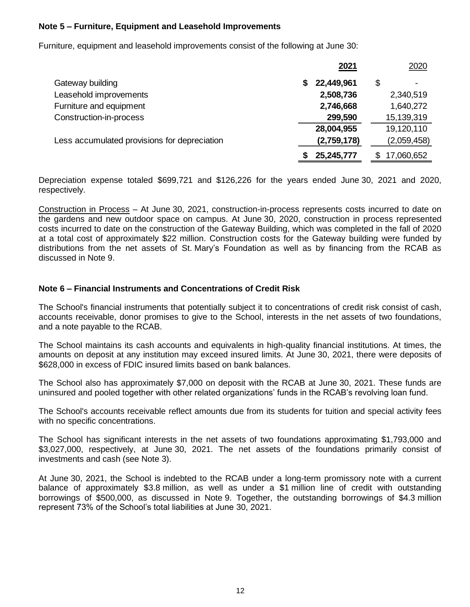#### **Note 5 – Furniture, Equipment and Leasehold Improvements**

Furniture, equipment and leasehold improvements consist of the following at June 30:

|                                              | 2021            | 2020        |
|----------------------------------------------|-----------------|-------------|
| Gateway building                             | 22,449,961<br>S | \$<br>٠     |
| Leasehold improvements                       | 2,508,736       | 2,340,519   |
| Furniture and equipment                      | 2,746,668       | 1,640,272   |
| Construction-in-process                      | 299,590         | 15,139,319  |
|                                              | 28,004,955      | 19,120,110  |
| Less accumulated provisions for depreciation | (2,759,178)     | (2,059,458) |
|                                              | 25,245,777      | 17,060,652  |

Depreciation expense totaled \$699,721 and \$126,226 for the years ended June 30, 2021 and 2020, respectively.

Construction in Process – At June 30, 2021, construction-in-process represents costs incurred to date on the gardens and new outdoor space on campus. At June 30, 2020, construction in process represented costs incurred to date on the construction of the Gateway Building, which was completed in the fall of 2020 at a total cost of approximately \$22 million. Construction costs for the Gateway building were funded by distributions from the net assets of St. Mary's Foundation as well as by financing from the RCAB as discussed in Note 9.

#### **Note 6 – Financial Instruments and Concentrations of Credit Risk**

The School's financial instruments that potentially subject it to concentrations of credit risk consist of cash, accounts receivable, donor promises to give to the School, interests in the net assets of two foundations, and a note payable to the RCAB.

The School maintains its cash accounts and equivalents in high-quality financial institutions. At times, the amounts on deposit at any institution may exceed insured limits. At June 30, 2021, there were deposits of \$628,000 in excess of FDIC insured limits based on bank balances.

The School also has approximately \$7,000 on deposit with the RCAB at June 30, 2021. These funds are uninsured and pooled together with other related organizations' funds in the RCAB's revolving loan fund.

The School's accounts receivable reflect amounts due from its students for tuition and special activity fees with no specific concentrations.

The School has significant interests in the net assets of two foundations approximating \$1,793,000 and \$3,027,000, respectively, at June 30, 2021. The net assets of the foundations primarily consist of investments and cash (see Note 3).

At June 30, 2021, the School is indebted to the RCAB under a long-term promissory note with a current balance of approximately \$3.8 million, as well as under a \$1 million line of credit with outstanding borrowings of \$500,000, as discussed in Note 9. Together, the outstanding borrowings of \$4.3 million represent 73% of the School's total liabilities at June 30, 2021.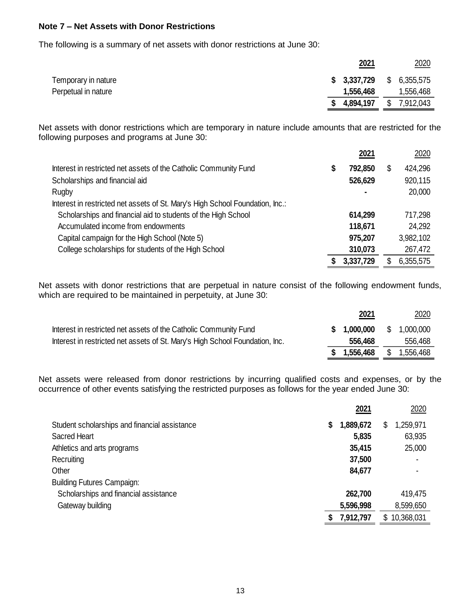# **Note 7 – Net Assets with Donor Restrictions**

The following is a summary of net assets with donor restrictions at June 30:

|                     | 2021        | <u>2020</u>     |
|---------------------|-------------|-----------------|
| Temporary in nature | \$3,337,729 | \$6,355,575     |
| Perpetual in nature | 1,556,468   | 1,556,468       |
|                     | 4,894,197   | \$<br>7,912,043 |

Net assets with donor restrictions which are temporary in nature include amounts that are restricted for the following purposes and programs at June 30:

|                                                                               | 2021          |    | 2020      |
|-------------------------------------------------------------------------------|---------------|----|-----------|
| Interest in restricted net assets of the Catholic Community Fund              | \$<br>792,850 | \$ | 424,296   |
| Scholarships and financial aid                                                | 526,629       |    | 920,115   |
| Rugby                                                                         |               |    | 20,000    |
| Interest in restricted net assets of St. Mary's High School Foundation, Inc.: |               |    |           |
| Scholarships and financial aid to students of the High School                 | 614,299       |    | 717,298   |
| Accumulated income from endowments                                            | 118,671       |    | 24,292    |
| Capital campaign for the High School (Note 5)                                 | 975,207       |    | 3,982,102 |
| College scholarships for students of the High School                          | 310,073       |    | 267,472   |
|                                                                               | 3,337,729     | S  | 6,355,575 |

Net assets with donor restrictions that are perpetual in nature consist of the following endowment funds, which are required to be maintained in perpetuity, at June 30:

|                                                                              | 2021        |          | 2020      |
|------------------------------------------------------------------------------|-------------|----------|-----------|
| Interest in restricted net assets of the Catholic Community Fund             | \$1,000,000 | <b>S</b> | 1,000,000 |
| Interest in restricted net assets of St. Mary's High School Foundation, Inc. | 556,468     |          | 556,468   |
|                                                                              | \$1,556,468 | \$       | 1,556,468 |

Net assets were released from donor restrictions by incurring qualified costs and expenses, or by the occurrence of other events satisfying the restricted purposes as follows for the year ended June 30:

|                                               | 2021            | 2020            |
|-----------------------------------------------|-----------------|-----------------|
| Student scholarships and financial assistance | \$<br>1,889,672 | \$<br>1,259,971 |
| Sacred Heart                                  | 5,835           | 63,935          |
| Athletics and arts programs                   | 35,415          | 25,000          |
| Recruiting                                    | 37,500          |                 |
| Other                                         | 84,677          |                 |
| <b>Building Futures Campaign:</b>             |                 |                 |
| Scholarships and financial assistance         | 262,700         | 419,475         |
| Gateway building                              | 5,596,998       | 8,599,650       |
|                                               | 7,912,797       | \$10,368,031    |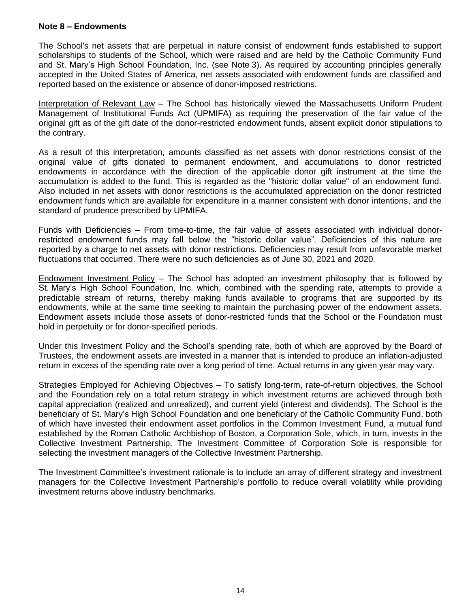#### **Note 8 – Endowments**

The School's net assets that are perpetual in nature consist of endowment funds established to support scholarships to students of the School, which were raised and are held by the Catholic Community Fund and St. Mary's High School Foundation, Inc. (see Note 3). As required by accounting principles generally accepted in the United States of America, net assets associated with endowment funds are classified and reported based on the existence or absence of donor-imposed restrictions.

Interpretation of Relevant Law – The School has historically viewed the Massachusetts Uniform Prudent Management of Institutional Funds Act (UPMIFA) as requiring the preservation of the fair value of the original gift as of the gift date of the donor-restricted endowment funds, absent explicit donor stipulations to the contrary.

As a result of this interpretation, amounts classified as net assets with donor restrictions consist of the original value of gifts donated to permanent endowment, and accumulations to donor restricted endowments in accordance with the direction of the applicable donor gift instrument at the time the accumulation is added to the fund. This is regarded as the "historic dollar value" of an endowment fund. Also included in net assets with donor restrictions is the accumulated appreciation on the donor restricted endowment funds which are available for expenditure in a manner consistent with donor intentions, and the standard of prudence prescribed by UPMIFA.

Funds with Deficiencies – From time-to-time, the fair value of assets associated with individual donorrestricted endowment funds may fall below the "historic dollar value". Deficiencies of this nature are reported by a charge to net assets with donor restrictions. Deficiencies may result from unfavorable market fluctuations that occurred. There were no such deficiencies as of June 30, 2021 and 2020.

Endowment Investment Policy – The School has adopted an investment philosophy that is followed by St. Mary's High School Foundation, Inc. which, combined with the spending rate, attempts to provide a predictable stream of returns, thereby making funds available to programs that are supported by its endowments, while at the same time seeking to maintain the purchasing power of the endowment assets. Endowment assets include those assets of donor-restricted funds that the School or the Foundation must hold in perpetuity or for donor-specified periods.

Under this Investment Policy and the School's spending rate, both of which are approved by the Board of Trustees, the endowment assets are invested in a manner that is intended to produce an inflation-adjusted return in excess of the spending rate over a long period of time. Actual returns in any given year may vary.

Strategies Employed for Achieving Objectives – To satisfy long-term, rate-of-return objectives, the School and the Foundation rely on a total return strategy in which investment returns are achieved through both capital appreciation (realized and unrealized), and current yield (interest and dividends). The School is the beneficiary of St. Mary's High School Foundation and one beneficiary of the Catholic Community Fund, both of which have invested their endowment asset portfolios in the Common Investment Fund, a mutual fund established by the Roman Catholic Archbishop of Boston, a Corporation Sole, which, in turn, invests in the Collective Investment Partnership. The Investment Committee of Corporation Sole is responsible for selecting the investment managers of the Collective Investment Partnership.

The Investment Committee's investment rationale is to include an array of different strategy and investment managers for the Collective Investment Partnership's portfolio to reduce overall volatility while providing investment returns above industry benchmarks.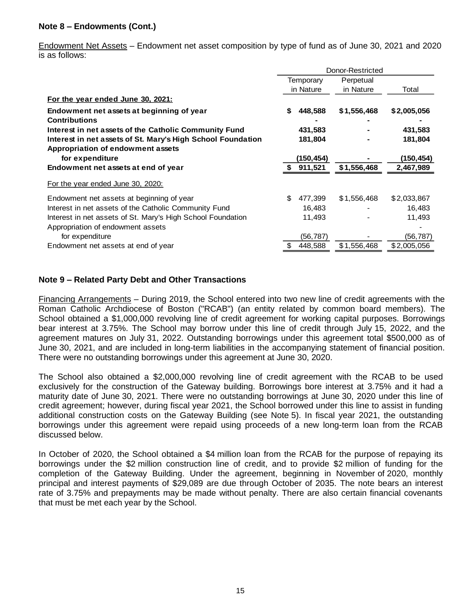#### **Note 8 – Endowments (Cont.)**

Endowment Net Assets – Endowment net asset composition by type of fund as of June 30, 2021 and 2020 is as follows:

|                                                             | Donor-Restricted |           |             |             |
|-------------------------------------------------------------|------------------|-----------|-------------|-------------|
|                                                             | Temporary        |           | Perpetual   |             |
|                                                             |                  | in Nature | in Nature   | Total       |
| For the year ended June 30, 2021:                           |                  |           |             |             |
| Endowment net assets at beginning of year                   | S                | 448,588   | \$1,556,468 | \$2,005,056 |
| <b>Contributions</b>                                        |                  |           |             |             |
| Interest in net assets of the Catholic Community Fund       |                  | 431,583   |             | 431,583     |
| Interest in net assets of St. Mary's High School Foundation |                  | 181,804   |             | 181,804     |
| Appropriation of endowment assets                           |                  |           |             |             |
| for expenditure                                             |                  | (150,454) |             | (150,454)   |
| Endowment net assets at end of year                         |                  | 911,521   | \$1,556,468 | 2,467,989   |
| For the year ended June 30, 2020:                           |                  |           |             |             |
| Endowment net assets at beginning of year                   | \$               | 477,399   | \$1,556,468 | \$2,033,867 |
| Interest in net assets of the Catholic Community Fund       |                  | 16,483    |             | 16,483      |
| Interest in net assets of St. Mary's High School Foundation |                  | 11,493    |             | 11,493      |
| Appropriation of endowment assets                           |                  |           |             |             |
| for expenditure                                             |                  | (56, 787) |             | (56, 787)   |
| Endowment net assets at end of year                         |                  | 448,588   | \$1,556,468 | \$2,005,056 |

#### **Note 9 – Related Party Debt and Other Transactions**

Financing Arrangements – During 2019, the School entered into two new line of credit agreements with the Roman Catholic Archdiocese of Boston ("RCAB") (an entity related by common board members). The School obtained a \$1,000,000 revolving line of credit agreement for working capital purposes. Borrowings bear interest at 3.75%. The School may borrow under this line of credit through July 15, 2022, and the agreement matures on July 31, 2022. Outstanding borrowings under this agreement total \$500,000 as of June 30, 2021, and are included in long-term liabilities in the accompanying statement of financial position. There were no outstanding borrowings under this agreement at June 30, 2020.

The School also obtained a \$2,000,000 revolving line of credit agreement with the RCAB to be used exclusively for the construction of the Gateway building. Borrowings bore interest at 3.75% and it had a maturity date of June 30, 2021. There were no outstanding borrowings at June 30, 2020 under this line of credit agreement; however, during fiscal year 2021, the School borrowed under this line to assist in funding additional construction costs on the Gateway Building (see Note 5). In fiscal year 2021, the outstanding borrowings under this agreement were repaid using proceeds of a new long-term loan from the RCAB discussed below.

In October of 2020, the School obtained a \$4 million loan from the RCAB for the purpose of repaying its borrowings under the \$2 million construction line of credit, and to provide \$2 million of funding for the completion of the Gateway Building. Under the agreement, beginning in November of 2020, monthly principal and interest payments of \$29,089 are due through October of 2035. The note bears an interest rate of 3.75% and prepayments may be made without penalty. There are also certain financial covenants that must be met each year by the School.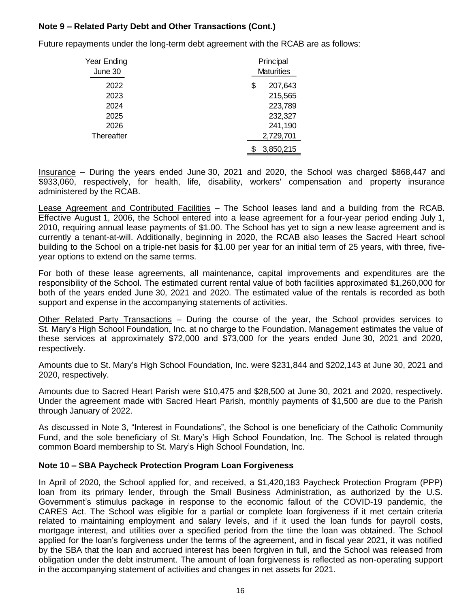### **Note 9 – Related Party Debt and Other Transactions (Cont.)**

Future repayments under the long-term debt agreement with the RCAB are as follows:

| Year Ending<br>June 30 | Principal<br><b>Maturities</b> |
|------------------------|--------------------------------|
| 2022                   | \$<br>207,643                  |
| 2023                   | 215,565                        |
| 2024                   | 223,789                        |
| 2025                   | 232,327                        |
| 2026                   | 241,190                        |
| Thereafter             | 2,729,701                      |
|                        | 3,850,215                      |
|                        |                                |

Insurance – During the years ended June 30, 2021 and 2020, the School was charged \$868,447 and \$933,060, respectively, for health, life, disability, workers' compensation and property insurance administered by the RCAB.

Lease Agreement and Contributed Facilities – The School leases land and a building from the RCAB. Effective August 1, 2006, the School entered into a lease agreement for a four-year period ending July 1, 2010, requiring annual lease payments of \$1.00. The School has yet to sign a new lease agreement and is currently a tenant-at-will. Additionally, beginning in 2020, the RCAB also leases the Sacred Heart school building to the School on a triple-net basis for \$1.00 per year for an initial term of 25 years, with three, fiveyear options to extend on the same terms.

For both of these lease agreements, all maintenance, capital improvements and expenditures are the responsibility of the School. The estimated current rental value of both facilities approximated \$1,260,000 for both of the years ended June 30, 2021 and 2020. The estimated value of the rentals is recorded as both support and expense in the accompanying statements of activities.

Other Related Party Transactions – During the course of the year, the School provides services to St. Mary's High School Foundation, Inc. at no charge to the Foundation. Management estimates the value of these services at approximately \$72,000 and \$73,000 for the years ended June 30, 2021 and 2020, respectively.

Amounts due to St. Mary's High School Foundation, Inc. were \$231,844 and \$202,143 at June 30, 2021 and 2020, respectively.

Amounts due to Sacred Heart Parish were \$10,475 and \$28,500 at June 30, 2021 and 2020, respectively. Under the agreement made with Sacred Heart Parish, monthly payments of \$1,500 are due to the Parish through January of 2022.

As discussed in Note 3, "Interest in Foundations", the School is one beneficiary of the Catholic Community Fund, and the sole beneficiary of St. Mary's High School Foundation, Inc. The School is related through common Board membership to St. Mary's High School Foundation, Inc.

### **Note 10 – SBA Paycheck Protection Program Loan Forgiveness**

In April of 2020, the School applied for, and received, a \$1,420,183 Paycheck Protection Program (PPP) loan from its primary lender, through the Small Business Administration, as authorized by the U.S. Government's stimulus package in response to the economic fallout of the COVID-19 pandemic, the CARES Act. The School was eligible for a partial or complete loan forgiveness if it met certain criteria related to maintaining employment and salary levels, and if it used the loan funds for payroll costs, mortgage interest, and utilities over a specified period from the time the loan was obtained. The School applied for the loan's forgiveness under the terms of the agreement, and in fiscal year 2021, it was notified by the SBA that the loan and accrued interest has been forgiven in full, and the School was released from obligation under the debt instrument. The amount of loan forgiveness is reflected as non-operating support in the accompanying statement of activities and changes in net assets for 2021.